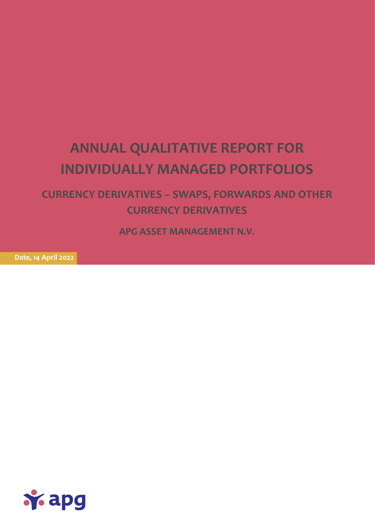# **ANNUAL QUALITATIVE REPORT FOR INDIVIDUALLY MANAGED PORTFOLIOS**

**CURRENCY DERIVATIVES – SWAPS, FORWARDS AND OTHER CURRENCY DERIVATIVES**

**APG ASSET MANAGEMENT N.V.**

**Date, 14 April 2022**

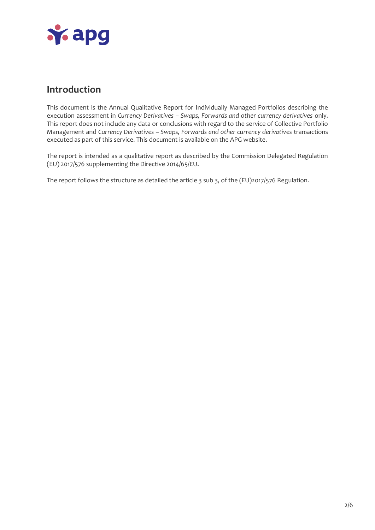

## **Introduction**

This document is the Annual Qualitative Report for Individually Managed Portfolios describing the execution assessment in *Currency Derivatives – Swaps, Forwards and other currency derivatives* only. This report does not include any data or conclusions with regard to the service of Collective Portfolio Management and *Currency Derivatives – Swaps, Forwards and other currency derivatives* transactions executed as part of this service. This document is available on the APG website.

The report is intended as a qualitative report as described by the Commission Delegated Regulation (EU) 2017/576 supplementing the Directive 2014/65/EU.

The report follows the structure as detailed the article 3 sub 3, of the (EU)2017/576 Regulation.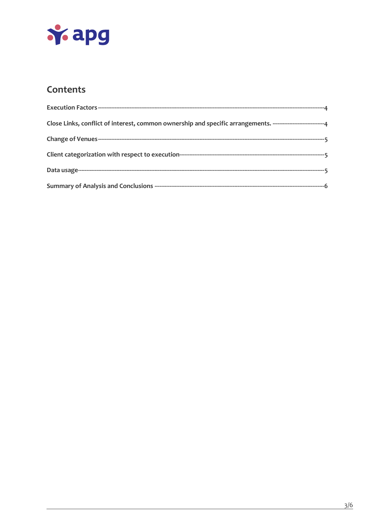

## Contents

| Close Links, conflict of interest, common ownership and specific arrangements. ------------------------------- |
|----------------------------------------------------------------------------------------------------------------|
|                                                                                                                |
|                                                                                                                |
|                                                                                                                |
|                                                                                                                |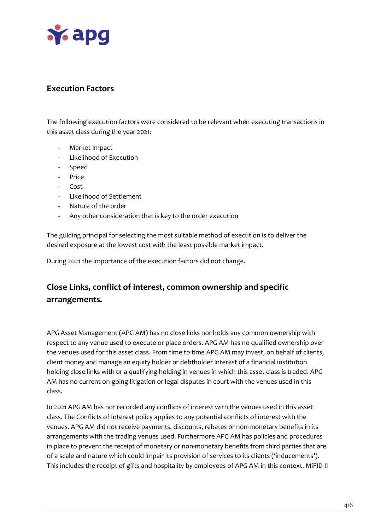

#### <span id="page-3-0"></span>**Execution Factors**

The following execution factors were considered to be relevant when executing transactions in this asset class during the year 2021:

- Market Impact
- Likelihood of Execution
- Speed
- Price
- Cost
- Likelihood of Settlement
- Nature of the order
- Any other consideration that is key to the order execution

The guiding principal for selecting the most suitable method of execution is to deliver the desired exposure at the lowest cost with the least possible market impact.

During 2021 the importance of the execution factors did not change.

## <span id="page-3-1"></span>**Close Links, conflict of interest, common ownership and specific arrangements.**

APG Asset Management (APG AM) has no close links nor holds any common ownership with respect to any venue used to execute or place orders. APG AM has no qualified ownership over the venues used for this asset class. From time to time APG AM may invest, on behalf of clients, client money and manage an equity holder or debtholder interest of a financial institution holding close links with or a qualifying holding in venues in which this asset class is traded. APG AM has no current on-going litigation or legal disputes in court with the venues used in this class.

In 2021 APG AM has not recorded any conflicts of interest with the venues used in this asset class. The Conflicts of Interest policy applies to any potential conflicts of interest with the venues. APG AM did not receive payments, discounts, rebates or non-monetary benefits in its arrangements with the trading venues used. Furthermore APG AM has policies and procedures in place to prevent the receipt of monetary or non-monetary benefits from third parties that are of a scale and nature which could impair its provision of services to its clients ('inducements'). This includes the receipt of gifts and hospitality by employees of APG AM in this context. MiFID II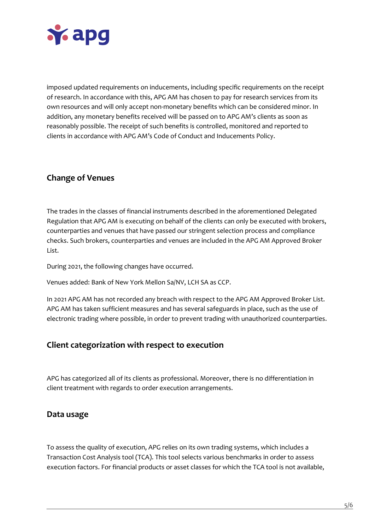

imposed updated requirements on inducements, including specific requirements on the receipt of research. In accordance with this, APG AM has chosen to pay for research services from its own resources and will only accept non-monetary benefits which can be considered minor. In addition, any monetary benefits received will be passed on to APG AM's clients as soon as reasonably possible. The receipt of such benefits is controlled, monitored and reported to clients in accordance with APG AM's Code of Conduct and Inducements Policy.

## <span id="page-4-0"></span>**Change of Venues**

The trades in the classes of financial instruments described in the aforementioned Delegated Regulation that APG AM is executing on behalf of the clients can only be executed with brokers, counterparties and venues that have passed our stringent selection process and compliance checks. Such brokers, counterparties and venues are included in the APG AM Approved Broker List.

During 2021, the following changes have occurred.

Venues added: Bank of New York Mellon Sa/NV, LCH SA as CCP.

In 2021 APG AM has not recorded any breach with respect to the APG AM Approved Broker List. APG AM has taken sufficient measures and has several safeguards in place, such as the use of electronic trading where possible, in order to prevent trading with unauthorized counterparties.

#### <span id="page-4-1"></span>**Client categorization with respect to execution**

APG has categorized all of its clients as professional. Moreover, there is no differentiation in client treatment with regards to order execution arrangements.

#### <span id="page-4-2"></span>**Data usage**

To assess the quality of execution, APG relies on its own trading systems, which includes a Transaction Cost Analysis tool (TCA). This tool selects various benchmarks in order to assess execution factors. For financial products or asset classes for which the TCA tool is not available,